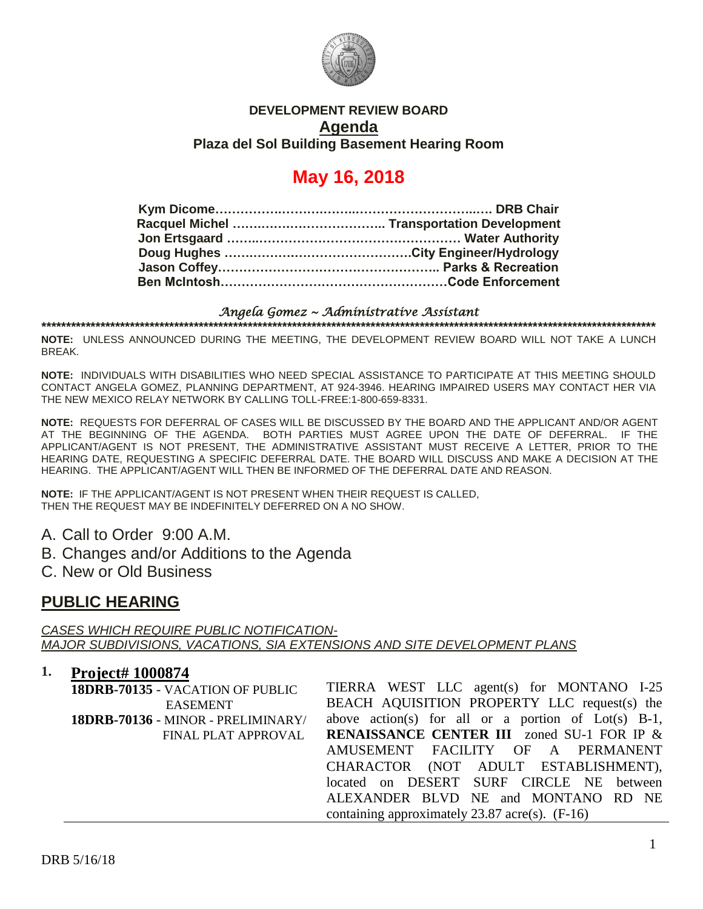

## **DEVELOPMENT REVIEW BOARD Agenda Plaza del Sol Building Basement Hearing Room**

# **May 16, 2018**

#### *Angela Gomez ~ Administrative Assistant*  **\*\*\*\*\*\*\*\*\*\*\*\*\*\*\*\*\*\*\*\*\*\*\*\*\*\*\*\*\*\*\*\*\*\*\*\*\*\*\*\*\*\*\*\*\*\*\*\*\*\*\*\*\*\*\*\*\*\*\*\*\*\*\*\*\*\*\*\*\*\*\*\*\*\*\*\*\*\*\*\*\*\*\*\*\*\*\*\*\*\*\*\*\*\*\*\*\*\*\*\*\*\*\*\*\*\*\*\*\*\*\*\*\*\*\*\*\*\*\*\*\*\*\*\*\***

**NOTE:** UNLESS ANNOUNCED DURING THE MEETING, THE DEVELOPMENT REVIEW BOARD WILL NOT TAKE A LUNCH BREAK.

**NOTE:** INDIVIDUALS WITH DISABILITIES WHO NEED SPECIAL ASSISTANCE TO PARTICIPATE AT THIS MEETING SHOULD CONTACT ANGELA GOMEZ, PLANNING DEPARTMENT, AT 924-3946. HEARING IMPAIRED USERS MAY CONTACT HER VIA THE NEW MEXICO RELAY NETWORK BY CALLING TOLL-FREE:1-800-659-8331.

**NOTE:** REQUESTS FOR DEFERRAL OF CASES WILL BE DISCUSSED BY THE BOARD AND THE APPLICANT AND/OR AGENT AT THE BEGINNING OF THE AGENDA. BOTH PARTIES MUST AGREE UPON THE DATE OF DEFERRAL. IF THE APPLICANT/AGENT IS NOT PRESENT, THE ADMINISTRATIVE ASSISTANT MUST RECEIVE A LETTER, PRIOR TO THE HEARING DATE, REQUESTING A SPECIFIC DEFERRAL DATE. THE BOARD WILL DISCUSS AND MAKE A DECISION AT THE HEARING. THE APPLICANT/AGENT WILL THEN BE INFORMED OF THE DEFERRAL DATE AND REASON.

**NOTE:** IF THE APPLICANT/AGENT IS NOT PRESENT WHEN THEIR REQUEST IS CALLED, THEN THE REQUEST MAY BE INDEFINITELY DEFERRED ON A NO SHOW.

A. Call to Order 9:00 A.M.

- B. Changes and/or Additions to the Agenda
- C. New or Old Business

# **PUBLIC HEARING**

*CASES WHICH REQUIRE PUBLIC NOTIFICATION-MAJOR SUBDIVISIONS, VACATIONS, SIA EXTENSIONS AND SITE DEVELOPMENT PLANS*

## **1. Project# 1000874**

| 18DRB-70135 - VACATION OF PUBLIC   | TIERRA WEST LLC agent(s) for MONTANO I-25             |
|------------------------------------|-------------------------------------------------------|
| <b>EASEMENT</b>                    | BEACH AQUISITION PROPERTY LLC request(s) the          |
| 18DRB-70136 - MINOR - PRELIMINARY/ | above action(s) for all or a portion of $Lot(s)$ B-1, |
| FINAL PLAT APPROVAL                | <b>RENAISSANCE CENTER III</b> zoned SU-1 FOR IP &     |
|                                    | AMUSEMENT FACILITY OF A PERMANENT                     |
|                                    | CHARACTOR (NOT ADULT ESTABLISHMENT),                  |
|                                    | located on DESERT SURF CIRCLE NE between              |
|                                    | ALEXANDER BLVD NE and MONTANO RD NE                   |
|                                    | containing approximately 23.87 acre(s). $(F-16)$      |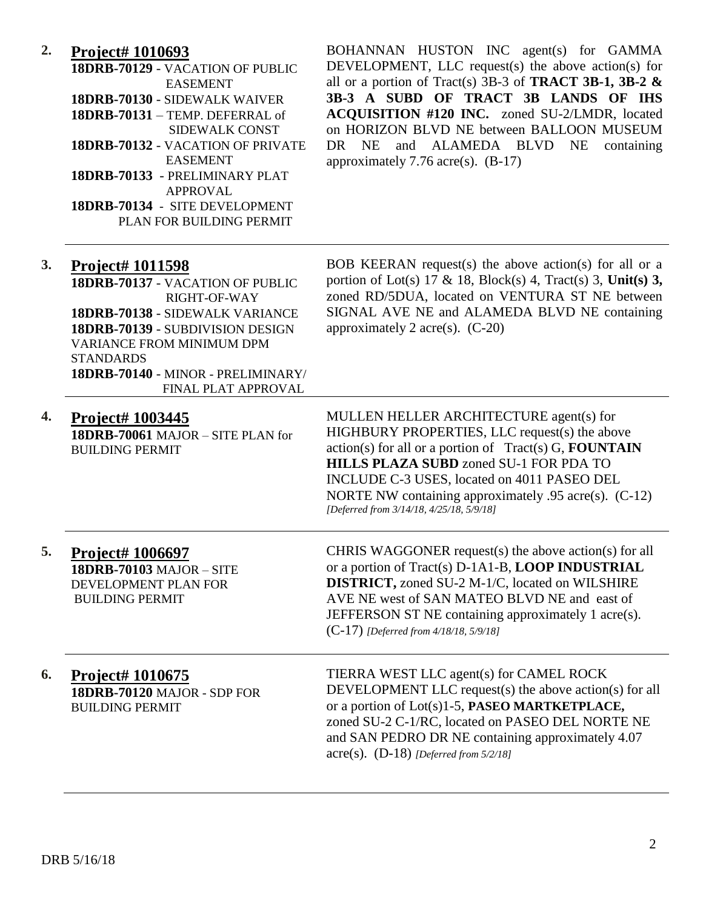# **2. Project# 1010693**

| 18DRB-70129 - VACATION OF PUBLIC  |
|-----------------------------------|
| <b>EASEMENT</b>                   |
| 18DRB-70130 - SIDEWALK WAIVER     |
| 18DRB-70131 - TEMP. DEFERRAL of   |
| SIDEWALK CONST                    |
| 18DRB-70132 - VACATION OF PRIVATE |
| <b>EASEMENT</b>                   |
| 18DRB-70133 - PRELIMINARY PLAT    |
| APPROVAL                          |
| 18DRB-70134 - SITE DEVELOPMENT    |
| PLAN FOR BUILDING PERMIT          |

BOHANNAN HUSTON INC agent(s) for GAMMA DEVELOPMENT, LLC request(s) the above action(s) for all or a portion of Tract(s) 3B-3 of **TRACT 3B-1, 3B-2 & 3B-3 A SUBD OF TRACT 3B LANDS OF IHS ACQUISITION #120 INC.** zoned SU-2/LMDR, located on HORIZON BLVD NE between BALLOON MUSEUM DR NE and ALAMEDA BLVD NE containing approximately 7.76 acre(s). (B-17)

| 3. | Project# 1011598<br>18DRB-70137 - VACATION OF PUBLIC<br>RIGHT-OF-WAY<br>18DRB-70138 - SIDEWALK VARIANCE<br>18DRB-70139 - SUBDIVISION DESIGN<br><b>VARIANCE FROM MINIMUM DPM</b><br><b>STANDARDS</b><br>18DRB-70140 - MINOR - PRELIMINARY/<br>FINAL PLAT APPROVAL | BOB KEERAN request(s) the above action(s) for all or a<br>portion of Lot(s) 17 & 18, Block(s) 4, Tract(s) 3, Unit(s) 3,<br>zoned RD/5DUA, located on VENTURA ST NE between<br>SIGNAL AVE NE and ALAMEDA BLVD NE containing<br>approximately 2 acre(s). $(C-20)$                                                                                                |
|----|------------------------------------------------------------------------------------------------------------------------------------------------------------------------------------------------------------------------------------------------------------------|----------------------------------------------------------------------------------------------------------------------------------------------------------------------------------------------------------------------------------------------------------------------------------------------------------------------------------------------------------------|
| 4. | Project# 1003445<br>18DRB-70061 MAJOR - SITE PLAN for<br><b>BUILDING PERMIT</b>                                                                                                                                                                                  | MULLEN HELLER ARCHITECTURE agent(s) for<br>HIGHBURY PROPERTIES, LLC request(s) the above<br>$action(s)$ for all or a portion of $Tract(s) G$ , <b>FOUNTAIN</b><br>HILLS PLAZA SUBD zoned SU-1 FOR PDA TO<br>INCLUDE C-3 USES, located on 4011 PASEO DEL<br>NORTE NW containing approximately $.95$ acre(s). (C-12)<br>[Deferred from 3/14/18, 4/25/18, 5/9/18] |
| 5. | Project# 1006697<br><b>18DRB-70103 MAJOR - SITE</b><br>DEVELOPMENT PLAN FOR<br><b>BUILDING PERMIT</b>                                                                                                                                                            | CHRIS WAGGONER request(s) the above action(s) for all<br>or a portion of Tract(s) D-1A1-B, LOOP INDUSTRIAL<br><b>DISTRICT, zoned SU-2 M-1/C, located on WILSHIRE</b><br>AVE NE west of SAN MATEO BLVD NE and east of<br>JEFFERSON ST NE containing approximately 1 acre(s).<br>$(C-17)$ [Deferred from 4/18/18, 5/9/18]                                        |
| 6. | Project# 1010675<br>18DRB-70120 MAJOR - SDP FOR<br><b>BUILDING PERMIT</b>                                                                                                                                                                                        | TIERRA WEST LLC agent(s) for CAMEL ROCK<br>DEVELOPMENT LLC request(s) the above action(s) for all<br>or a portion of Lot(s)1-5, PASEO MARTKETPLACE,<br>zoned SU-2 C-1/RC, located on PASEO DEL NORTE NE<br>and SAN PEDRO DR NE containing approximately 4.07<br>$\text{acre}(s)$ . (D-18) [Deferred from 5/2/18]                                               |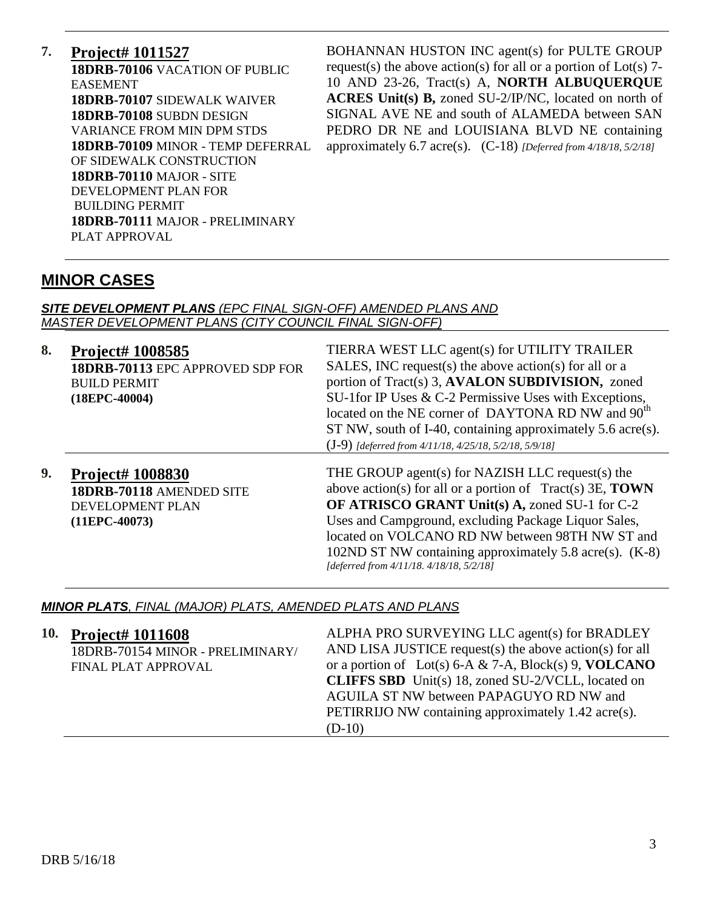# **7. Project# 1011527**

**18DRB-70106** VACATION OF PUBLIC EASEMENT **18DRB-70107** SIDEWALK WAIVER **18DRB-70108** SUBDN DESIGN VARIANCE FROM MIN DPM STDS **18DRB-70109** MINOR - TEMP DEFERRAL OF SIDEWALK CONSTRUCTION **18DRB-70110** MAJOR - SITE DEVELOPMENT PLAN FOR BUILDING PERMIT **18DRB-70111** MAJOR - PRELIMINARY PLAT APPROVAL

BOHANNAN HUSTON INC agent(s) for PULTE GROUP request(s) the above action(s) for all or a portion of  $Lot(s)$  7-10 AND 23-26, Tract(s) A, **NORTH ALBUQUERQUE ACRES Unit(s) B,** zoned SU-2/IP/NC, located on north of SIGNAL AVE NE and south of ALAMEDA between SAN PEDRO DR NE and LOUISIANA BLVD NE containing approximately 6.7 acre(s). (C-18) *[Deferred from 4/18/18, 5/2/18]*

# **MINOR CASES**

#### *SITE DEVELOPMENT PLANS (EPC FINAL SIGN-OFF) AMENDED PLANS AND MASTER DEVELOPMENT PLANS (CITY COUNCIL FINAL SIGN-OFF)*

| 8. | <b>Project# 1008585</b><br>18DRB-70113 EPC APPROVED SDP FOR<br><b>BUILD PERMIT</b><br>$(18EPC-40004)$ | TIERRA WEST LLC agent(s) for UTILITY TRAILER<br>SALES, INC request(s) the above action(s) for all or a<br>portion of Tract(s) 3, AVALON SUBDIVISION, zoned<br>SU-1 for IP Uses & C-2 Permissive Uses with Exceptions,<br>located on the NE corner of DAYTONA RD NW and 90 <sup>th</sup><br>ST NW, south of I-40, containing approximately 5.6 acre(s).                                                                                                 |
|----|-------------------------------------------------------------------------------------------------------|--------------------------------------------------------------------------------------------------------------------------------------------------------------------------------------------------------------------------------------------------------------------------------------------------------------------------------------------------------------------------------------------------------------------------------------------------------|
| 9. | <b>Project# 1008830</b><br>18DRB-70118 AMENDED SITE<br>DEVELOPMENT PLAN<br>$(11EPC-40073)$            | $(J-9)$ [deferred from 4/11/18, 4/25/18, 5/2/18, 5/9/18]<br>THE GROUP agent(s) for NAZISH LLC request(s) the<br>above action(s) for all or a portion of $Tract(s)$ 3E, <b>TOWN</b><br>OF ATRISCO GRANT Unit(s) A, zoned SU-1 for C-2<br>Uses and Campground, excluding Package Liquor Sales,<br>located on VOLCANO RD NW between 98TH NW ST and<br>102ND ST NW containing approximately 5.8 acre(s). (K-8)<br>[deferred from 4/11/18. 4/18/18, 5/2/18] |

#### *MINOR PLATS, FINAL (MAJOR) PLATS, AMENDED PLATS AND PLANS*

| 10. Project# 1011608<br>18DRB-70154 MINOR - PRELIMINARY/<br>FINAL PLAT APPROVAL | ALPHA PRO SURVEYING LLC agent(s) for BRADLEY<br>AND LISA JUSTICE request(s) the above action(s) for all<br>or a portion of Lot(s) 6-A & 7-A, Block(s) 9, VOLCANO<br><b>CLIFFS SBD</b> Unit(s) 18, zoned SU-2/VCLL, located on<br>AGUILA ST NW between PAPAGUYO RD NW and<br>PETIRRIJO NW containing approximately 1.42 acre(s).<br>$(D-10)$ |
|---------------------------------------------------------------------------------|---------------------------------------------------------------------------------------------------------------------------------------------------------------------------------------------------------------------------------------------------------------------------------------------------------------------------------------------|
|                                                                                 |                                                                                                                                                                                                                                                                                                                                             |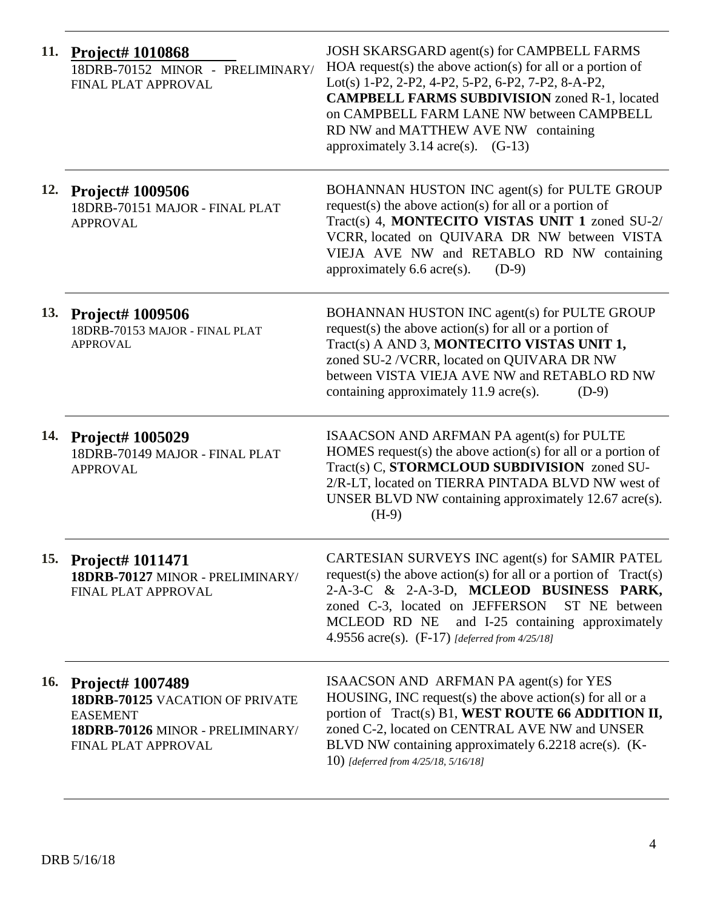| 11.        | <b>Project# 1010868</b><br>18DRB-70152 MINOR - PRELIMINARY/<br>FINAL PLAT APPROVAL                                                       | JOSH SKARSGARD agent(s) for CAMPBELL FARMS<br>HOA request(s) the above action(s) for all or a portion of<br>Lot(s) 1-P2, 2-P2, 4-P2, 5-P2, 6-P2, 7-P2, 8-A-P2,<br><b>CAMPBELL FARMS SUBDIVISION zoned R-1, located</b><br>on CAMPBELL FARM LANE NW between CAMPBELL<br>RD NW and MATTHEW AVE NW containing<br>approximately $3.14 \text{ acre}(s)$ . $(G-13)$ |
|------------|------------------------------------------------------------------------------------------------------------------------------------------|---------------------------------------------------------------------------------------------------------------------------------------------------------------------------------------------------------------------------------------------------------------------------------------------------------------------------------------------------------------|
| 12.        | <b>Project# 1009506</b><br>18DRB-70151 MAJOR - FINAL PLAT<br><b>APPROVAL</b>                                                             | BOHANNAN HUSTON INC agent(s) for PULTE GROUP<br>request(s) the above action(s) for all or a portion of<br>Tract(s) 4, MONTECITO VISTAS UNIT 1 zoned SU-2/<br>VCRR, located on QUIVARA DR NW between VISTA<br>VIEJA AVE NW and RETABLO RD NW containing<br>approximately $6.6$ acre(s).<br>$(D-9)$                                                             |
| 13.        | <b>Project# 1009506</b><br>18DRB-70153 MAJOR - FINAL PLAT<br><b>APPROVAL</b>                                                             | BOHANNAN HUSTON INC agent(s) for PULTE GROUP<br>request(s) the above action(s) for all or a portion of<br>Tract(s) A AND 3, MONTECITO VISTAS UNIT 1,<br>zoned SU-2 /VCRR, located on QUIVARA DR NW<br>between VISTA VIEJA AVE NW and RETABLO RD NW<br>containing approximately 11.9 acre(s).<br>$(D-9)$                                                       |
| 14.        | <b>Project# 1005029</b><br>18DRB-70149 MAJOR - FINAL PLAT<br><b>APPROVAL</b>                                                             | ISAACSON AND ARFMAN PA agent(s) for PULTE<br>HOMES request(s) the above action(s) for all or a portion of<br>Tract(s) C, STORMCLOUD SUBDIVISION zoned SU-<br>2/R-LT, located on TIERRA PINTADA BLVD NW west of<br>UNSER BLVD NW containing approximately 12.67 acre(s).<br>$(H-9)$                                                                            |
|            | 15. Project# 1011471<br>18DRB-70127 MINOR - PRELIMINARY/<br>FINAL PLAT APPROVAL                                                          | CARTESIAN SURVEYS INC agent(s) for SAMIR PATEL<br>request(s) the above action(s) for all or a portion of $Tract(s)$<br>2-A-3-C & 2-A-3-D, MCLEOD BUSINESS PARK,<br>zoned C-3, located on JEFFERSON<br>ST NE between<br>and I-25 containing approximately<br>MCLEOD RD NE<br>4.9556 $\text{acre}(s)$ . (F-17) [deferred from 4/25/18]                          |
| <b>16.</b> | <b>Project# 1007489</b><br>18DRB-70125 VACATION OF PRIVATE<br><b>EASEMENT</b><br>18DRB-70126 MINOR - PRELIMINARY/<br>FINAL PLAT APPROVAL | ISAACSON AND ARFMAN PA agent(s) for YES<br>HOUSING, INC request(s) the above action(s) for all or a<br>portion of Tract(s) B1, WEST ROUTE 66 ADDITION II,<br>zoned C-2, located on CENTRAL AVE NW and UNSER<br>BLVD NW containing approximately 6.2218 acre(s). (K-<br>10) [deferred from 4/25/18, 5/16/18]                                                   |